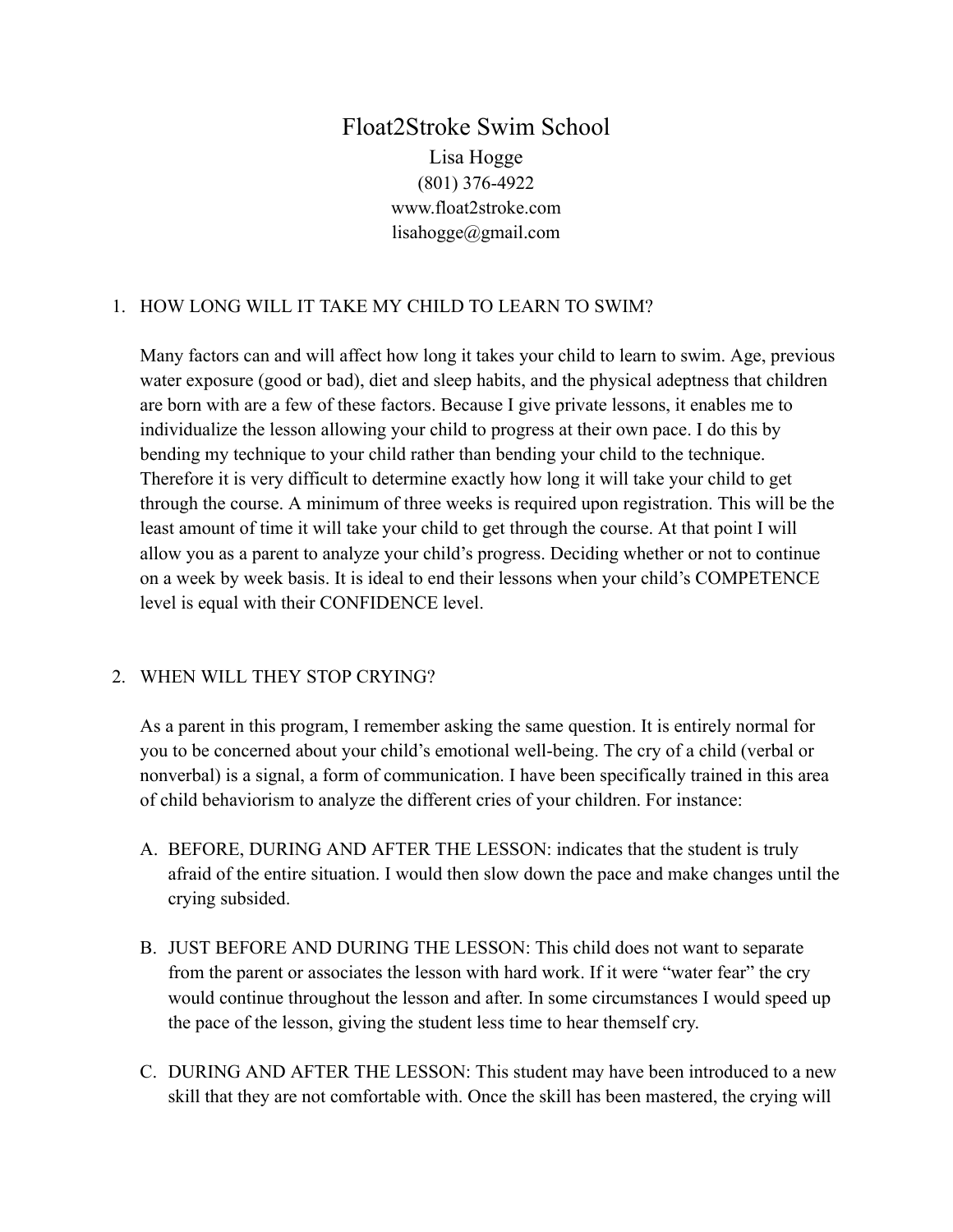# Float2Stroke Swim School Lisa Hogge (801) 376-4922 www.float2stroke.com lisahogge@gmail.com

## 1. HOW LONG WILL IT TAKE MY CHILD TO LEARN TO SWIM?

Many factors can and will affect how long it takes your child to learn to swim. Age, previous water exposure (good or bad), diet and sleep habits, and the physical adeptness that children are born with are a few of these factors. Because I give private lessons, it enables me to individualize the lesson allowing your child to progress at their own pace. I do this by bending my technique to your child rather than bending your child to the technique. Therefore it is very difficult to determine exactly how long it will take your child to get through the course. A minimum of three weeks is required upon registration. This will be the least amount of time it will take your child to get through the course. At that point I will allow you as a parent to analyze your child's progress. Deciding whether or not to continue on a week by week basis. It is ideal to end their lessons when your child's COMPETENCE level is equal with their CONFIDENCE level.

## 2. WHEN WILL THEY STOP CRYING?

As a parent in this program, I remember asking the same question. It is entirely normal for you to be concerned about your child's emotional well-being. The cry of a child (verbal or nonverbal) is a signal, a form of communication. I have been specifically trained in this area of child behaviorism to analyze the different cries of your children. For instance:

- A. BEFORE, DURING AND AFTER THE LESSON: indicates that the student is truly afraid of the entire situation. I would then slow down the pace and make changes until the crying subsided.
- B. JUST BEFORE AND DURING THE LESSON: This child does not want to separate from the parent or associates the lesson with hard work. If it were "water fear" the cry would continue throughout the lesson and after. In some circumstances I would speed up the pace of the lesson, giving the student less time to hear themself cry.
- C. DURING AND AFTER THE LESSON: This student may have been introduced to a new skill that they are not comfortable with. Once the skill has been mastered, the crying will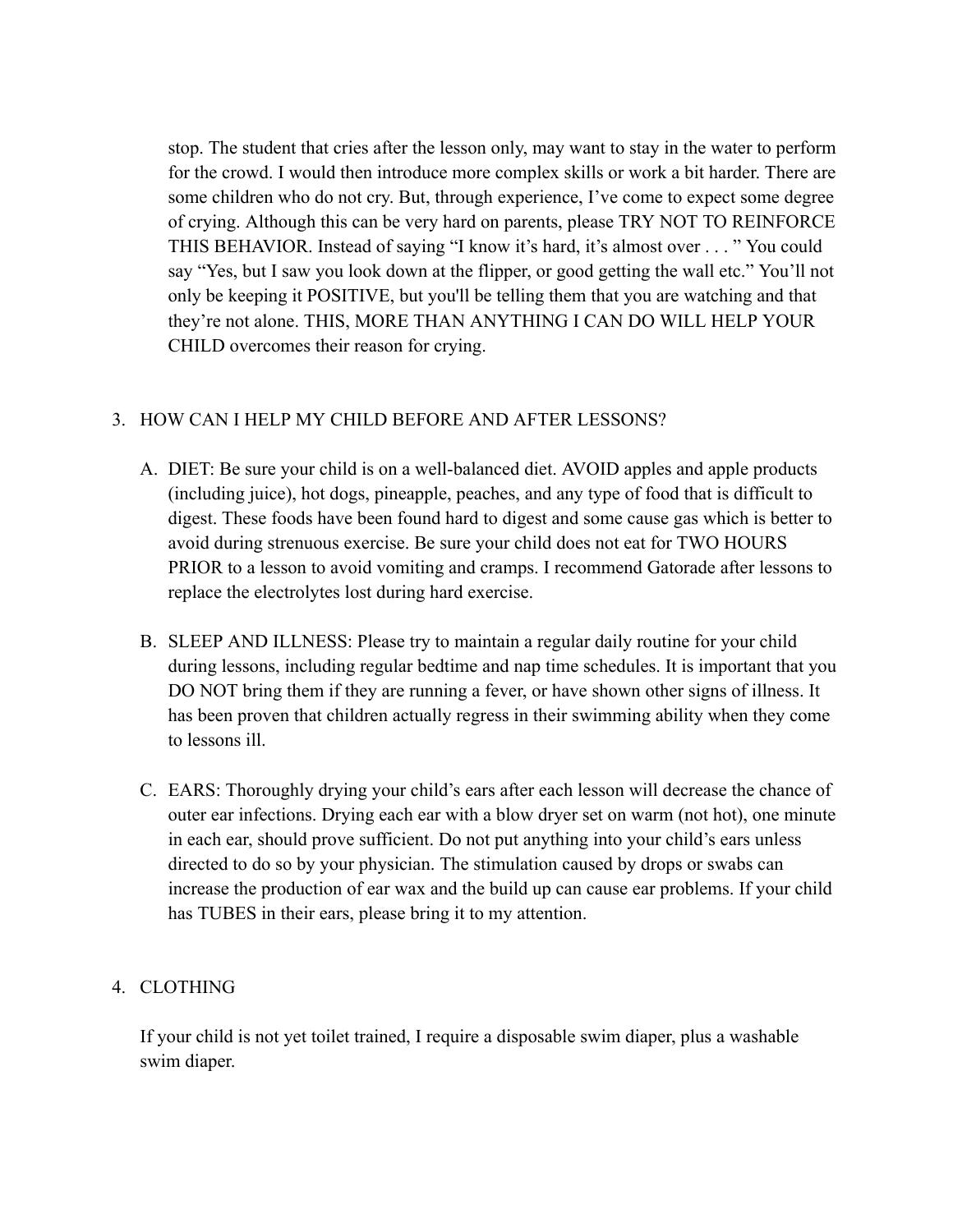stop. The student that cries after the lesson only, may want to stay in the water to perform for the crowd. I would then introduce more complex skills or work a bit harder. There are some children who do not cry. But, through experience, I've come to expect some degree of crying. Although this can be very hard on parents, please TRY NOT TO REINFORCE THIS BEHAVIOR. Instead of saying "I know it's hard, it's almost over . . . " You could say "Yes, but I saw you look down at the flipper, or good getting the wall etc." You'll not only be keeping it POSITIVE, but you'll be telling them that you are watching and that they're not alone. THIS, MORE THAN ANYTHING I CAN DO WILL HELP YOUR CHILD overcomes their reason for crying.

## 3. HOW CAN I HELP MY CHILD BEFORE AND AFTER LESSONS?

- A. DIET: Be sure your child is on a well-balanced diet. AVOID apples and apple products (including juice), hot dogs, pineapple, peaches, and any type of food that is difficult to digest. These foods have been found hard to digest and some cause gas which is better to avoid during strenuous exercise. Be sure your child does not eat for TWO HOURS PRIOR to a lesson to avoid vomiting and cramps. I recommend Gatorade after lessons to replace the electrolytes lost during hard exercise.
- B. SLEEP AND ILLNESS: Please try to maintain a regular daily routine for your child during lessons, including regular bedtime and nap time schedules. It is important that you DO NOT bring them if they are running a fever, or have shown other signs of illness. It has been proven that children actually regress in their swimming ability when they come to lessons ill.
- C. EARS: Thoroughly drying your child's ears after each lesson will decrease the chance of outer ear infections. Drying each ear with a blow dryer set on warm (not hot), one minute in each ear, should prove sufficient. Do not put anything into your child's ears unless directed to do so by your physician. The stimulation caused by drops or swabs can increase the production of ear wax and the build up can cause ear problems. If your child has TUBES in their ears, please bring it to my attention.

### 4. CLOTHING

If your child is not yet toilet trained, I require a disposable swim diaper, plus a washable swim diaper.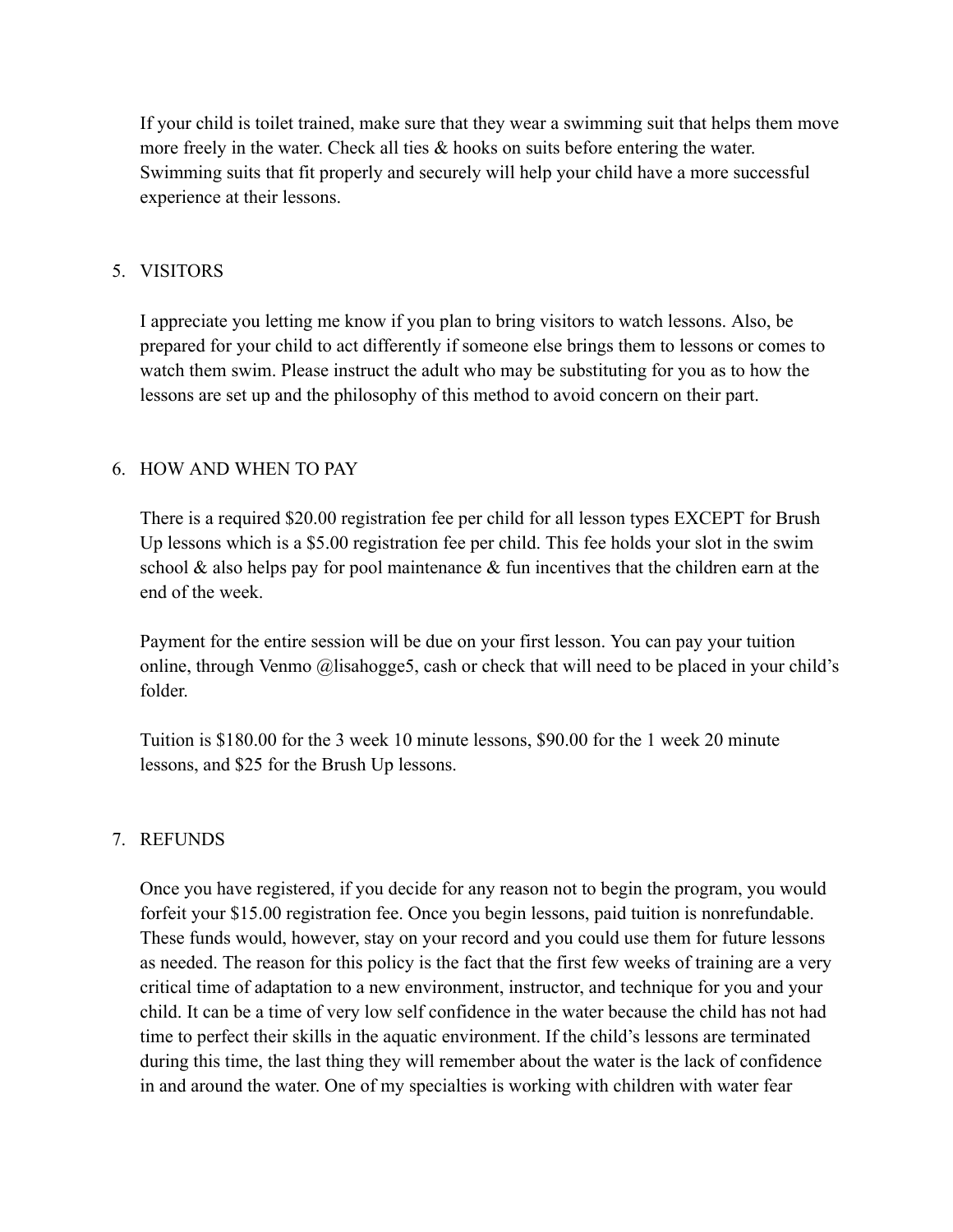If your child is toilet trained, make sure that they wear a swimming suit that helps them move more freely in the water. Check all ties & hooks on suits before entering the water. Swimming suits that fit properly and securely will help your child have a more successful experience at their lessons.

## 5. VISITORS

I appreciate you letting me know if you plan to bring visitors to watch lessons. Also, be prepared for your child to act differently if someone else brings them to lessons or comes to watch them swim. Please instruct the adult who may be substituting for you as to how the lessons are set up and the philosophy of this method to avoid concern on their part.

### 6. HOW AND WHEN TO PAY

There is a required \$20.00 registration fee per child for all lesson types EXCEPT for Brush Up lessons which is a \$5.00 registration fee per child. This fee holds your slot in the swim school  $\&$  also helps pay for pool maintenance  $\&$  fun incentives that the children earn at the end of the week.

Payment for the entire session will be due on your first lesson. You can pay your tuition online, through Venmo @lisahogge5, cash or check that will need to be placed in your child's folder.

Tuition is \$180.00 for the 3 week 10 minute lessons, \$90.00 for the 1 week 20 minute lessons, and \$25 for the Brush Up lessons.

### 7. REFUNDS

Once you have registered, if you decide for any reason not to begin the program, you would forfeit your \$15.00 registration fee. Once you begin lessons, paid tuition is nonrefundable. These funds would, however, stay on your record and you could use them for future lessons as needed. The reason for this policy is the fact that the first few weeks of training are a very critical time of adaptation to a new environment, instructor, and technique for you and your child. It can be a time of very low self confidence in the water because the child has not had time to perfect their skills in the aquatic environment. If the child's lessons are terminated during this time, the last thing they will remember about the water is the lack of confidence in and around the water. One of my specialties is working with children with water fear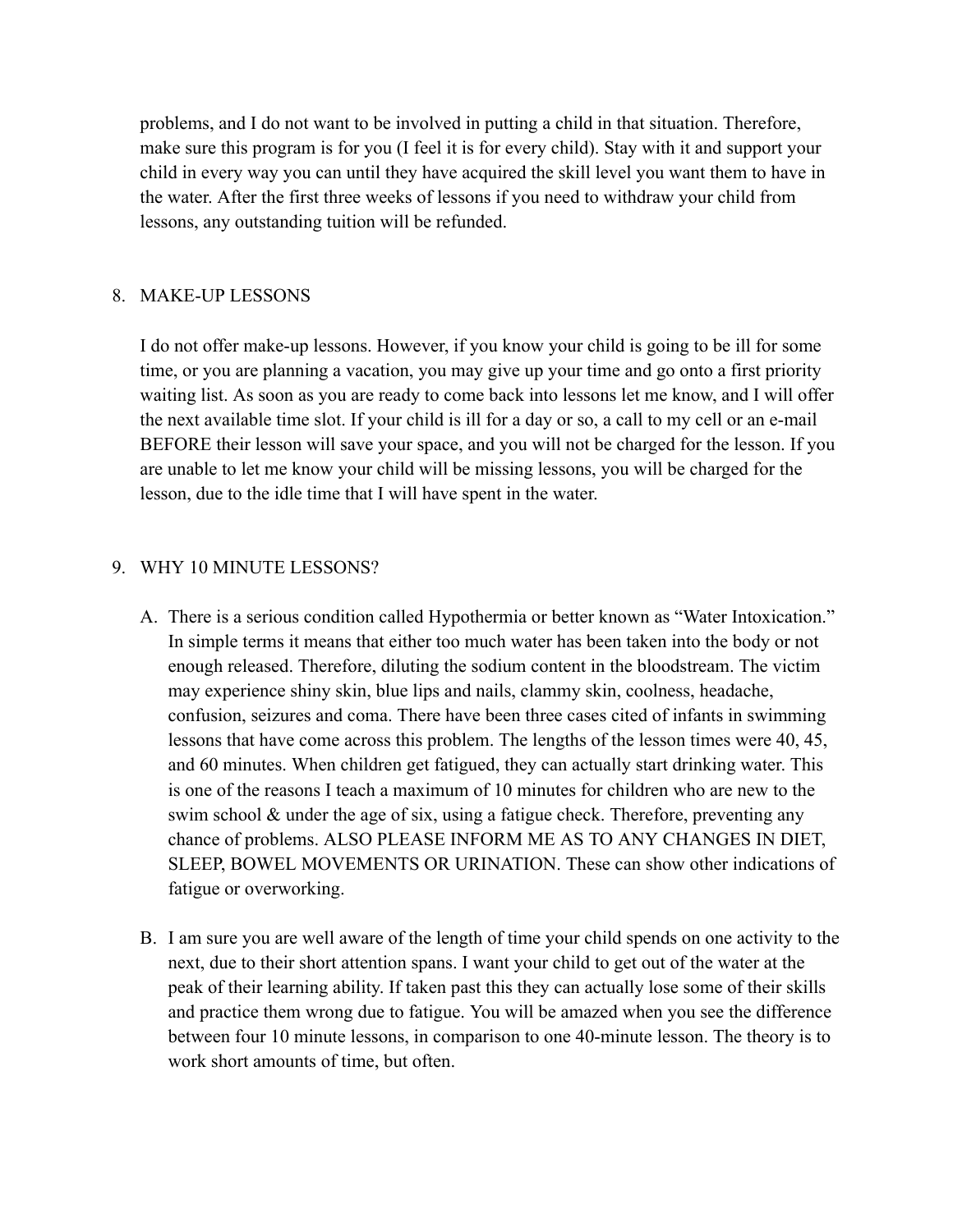problems, and I do not want to be involved in putting a child in that situation. Therefore, make sure this program is for you (I feel it is for every child). Stay with it and support your child in every way you can until they have acquired the skill level you want them to have in the water. After the first three weeks of lessons if you need to withdraw your child from lessons, any outstanding tuition will be refunded.

#### 8. MAKE-UP LESSONS

I do not offer make-up lessons. However, if you know your child is going to be ill for some time, or you are planning a vacation, you may give up your time and go onto a first priority waiting list. As soon as you are ready to come back into lessons let me know, and I will offer the next available time slot. If your child is ill for a day or so, a call to my cell or an e-mail BEFORE their lesson will save your space, and you will not be charged for the lesson. If you are unable to let me know your child will be missing lessons, you will be charged for the lesson, due to the idle time that I will have spent in the water.

#### 9. WHY 10 MINUTE LESSONS?

- A. There is a serious condition called Hypothermia or better known as "Water Intoxication." In simple terms it means that either too much water has been taken into the body or not enough released. Therefore, diluting the sodium content in the bloodstream. The victim may experience shiny skin, blue lips and nails, clammy skin, coolness, headache, confusion, seizures and coma. There have been three cases cited of infants in swimming lessons that have come across this problem. The lengths of the lesson times were 40, 45, and 60 minutes. When children get fatigued, they can actually start drinking water. This is one of the reasons I teach a maximum of 10 minutes for children who are new to the swim school & under the age of six, using a fatigue check. Therefore, preventing any chance of problems. ALSO PLEASE INFORM ME AS TO ANY CHANGES IN DIET, SLEEP, BOWEL MOVEMENTS OR URINATION. These can show other indications of fatigue or overworking.
- B. I am sure you are well aware of the length of time your child spends on one activity to the next, due to their short attention spans. I want your child to get out of the water at the peak of their learning ability. If taken past this they can actually lose some of their skills and practice them wrong due to fatigue. You will be amazed when you see the difference between four 10 minute lessons, in comparison to one 40-minute lesson. The theory is to work short amounts of time, but often.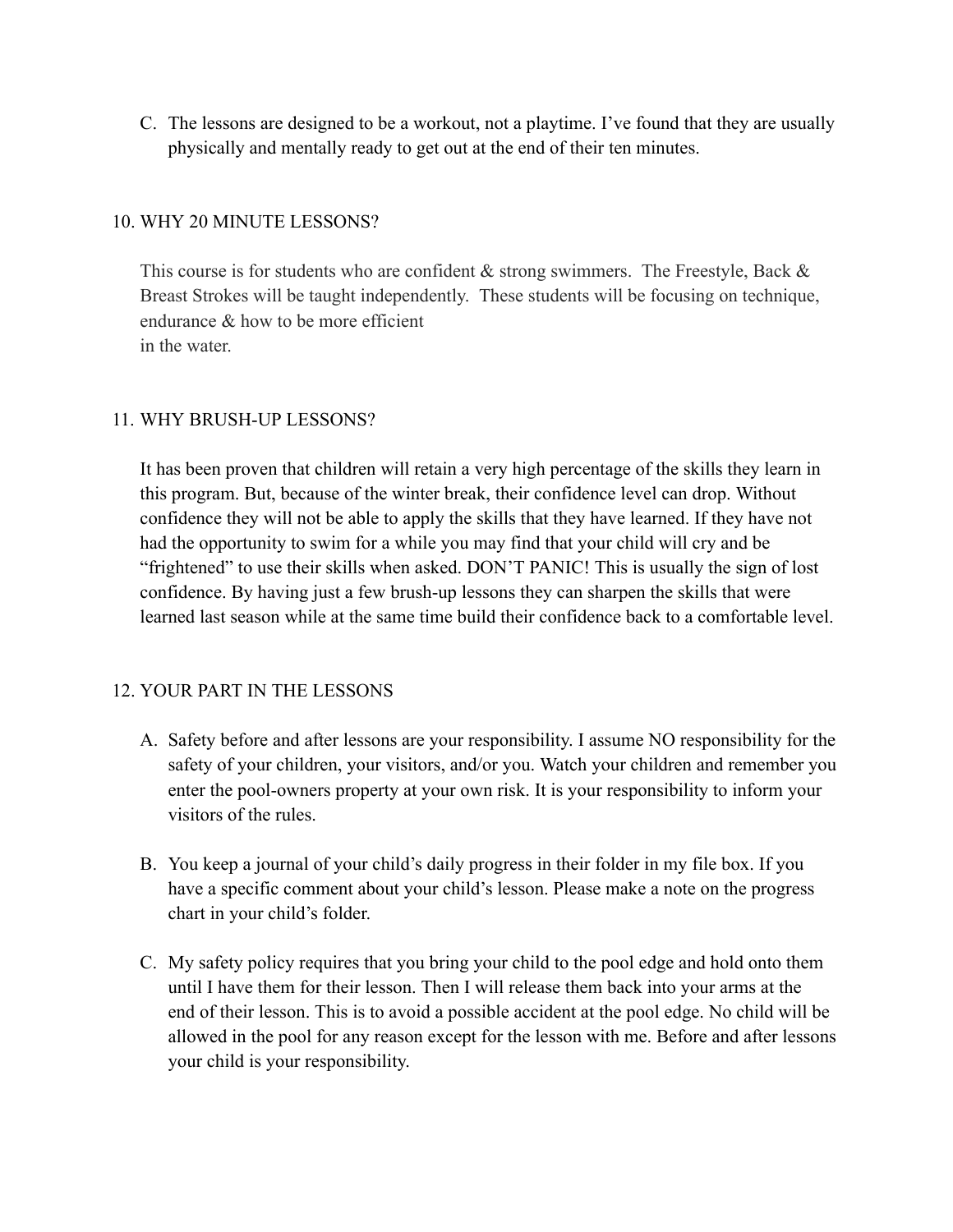C. The lessons are designed to be a workout, not a playtime. I've found that they are usually physically and mentally ready to get out at the end of their ten minutes.

### 10. WHY 20 MINUTE LESSONS?

This course is for students who are confident  $\&$  strong swimmers. The Freestyle, Back  $\&$ Breast Strokes will be taught independently. These students will be focusing on technique, endurance & how to be more efficient in the water.

## 11. WHY BRUSH-UP LESSONS?

It has been proven that children will retain a very high percentage of the skills they learn in this program. But, because of the winter break, their confidence level can drop. Without confidence they will not be able to apply the skills that they have learned. If they have not had the opportunity to swim for a while you may find that your child will cry and be "frightened" to use their skills when asked. DON'T PANIC! This is usually the sign of lost confidence. By having just a few brush-up lessons they can sharpen the skills that were learned last season while at the same time build their confidence back to a comfortable level.

### 12. YOUR PART IN THE LESSONS

- A. Safety before and after lessons are your responsibility. I assume NO responsibility for the safety of your children, your visitors, and/or you. Watch your children and remember you enter the pool-owners property at your own risk. It is your responsibility to inform your visitors of the rules.
- B. You keep a journal of your child's daily progress in their folder in my file box. If you have a specific comment about your child's lesson. Please make a note on the progress chart in your child's folder.
- C. My safety policy requires that you bring your child to the pool edge and hold onto them until I have them for their lesson. Then I will release them back into your arms at the end of their lesson. This is to avoid a possible accident at the pool edge. No child will be allowed in the pool for any reason except for the lesson with me. Before and after lessons your child is your responsibility.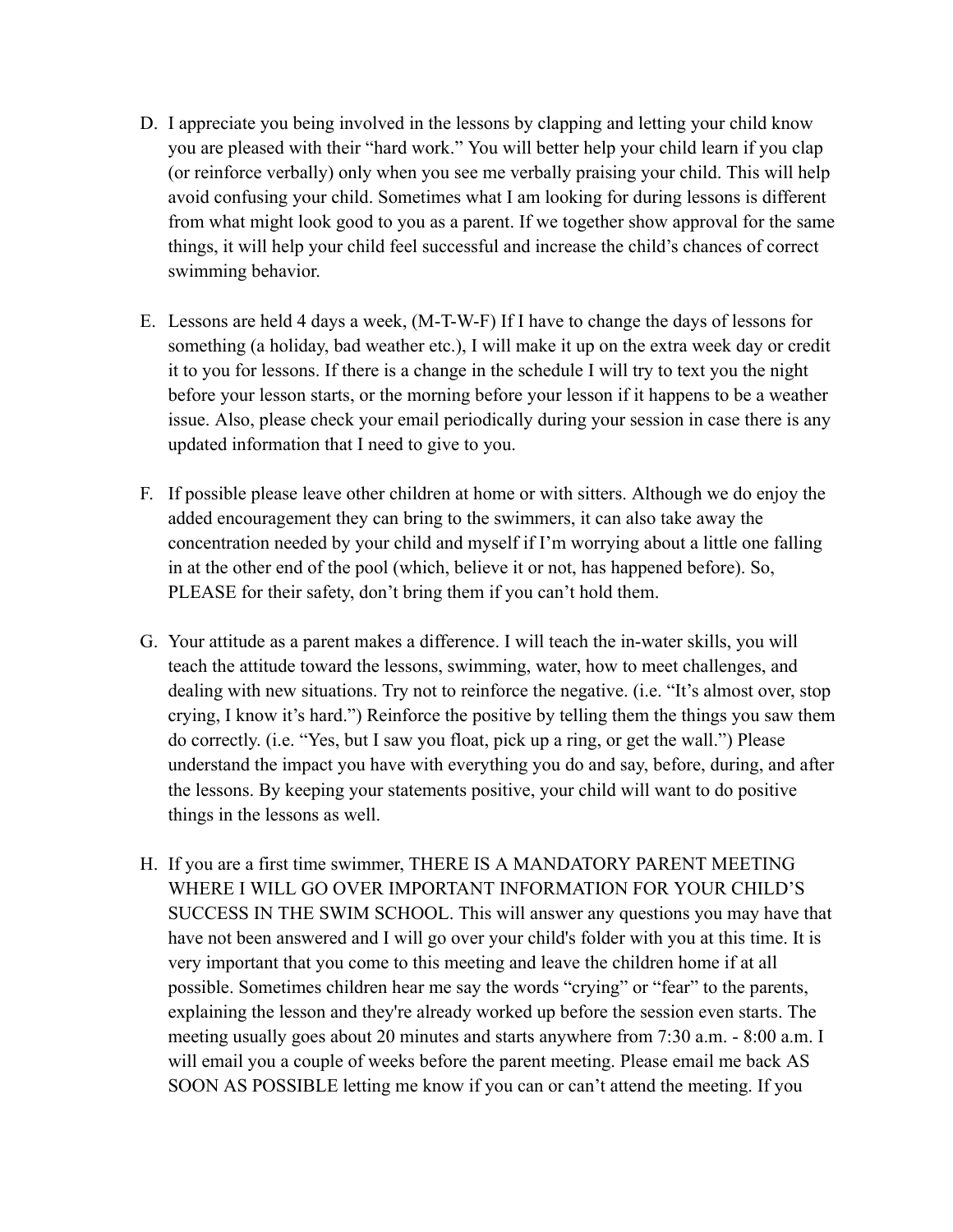- D. I appreciate you being involved in the lessons by clapping and letting your child know you are pleased with their "hard work." You will better help your child learn if you clap (or reinforce verbally) only when you see me verbally praising your child. This will help avoid confusing your child. Sometimes what I am looking for during lessons is different from what might look good to you as a parent. If we together show approval for the same things, it will help your child feel successful and increase the child's chances of correct swimming behavior.
- E. Lessons are held 4 days a week, (M-T-W-F) If I have to change the days of lessons for something (a holiday, bad weather etc.), I will make it up on the extra week day or credit it to you for lessons. If there is a change in the schedule I will try to text you the night before your lesson starts, or the morning before your lesson if it happens to be a weather issue. Also, please check your email periodically during your session in case there is any updated information that I need to give to you.
- F. If possible please leave other children at home or with sitters. Although we do enjoy the added encouragement they can bring to the swimmers, it can also take away the concentration needed by your child and myself if I'm worrying about a little one falling in at the other end of the pool (which, believe it or not, has happened before). So, PLEASE for their safety, don't bring them if you can't hold them.
- G. Your attitude as a parent makes a difference. I will teach the in-water skills, you will teach the attitude toward the lessons, swimming, water, how to meet challenges, and dealing with new situations. Try not to reinforce the negative. (i.e. "It's almost over, stop crying, I know it's hard.") Reinforce the positive by telling them the things you saw them do correctly. (i.e. "Yes, but I saw you float, pick up a ring, or get the wall.") Please understand the impact you have with everything you do and say, before, during, and after the lessons. By keeping your statements positive, your child will want to do positive things in the lessons as well.
- H. If you are a first time swimmer, THERE IS A MANDATORY PARENT MEETING WHERE I WILL GO OVER IMPORTANT INFORMATION FOR YOUR CHILD'S SUCCESS IN THE SWIM SCHOOL. This will answer any questions you may have that have not been answered and I will go over your child's folder with you at this time. It is very important that you come to this meeting and leave the children home if at all possible. Sometimes children hear me say the words "crying" or "fear" to the parents, explaining the lesson and they're already worked up before the session even starts. The meeting usually goes about 20 minutes and starts anywhere from 7:30 a.m. - 8:00 a.m. I will email you a couple of weeks before the parent meeting. Please email me back AS SOON AS POSSIBLE letting me know if you can or can't attend the meeting. If you